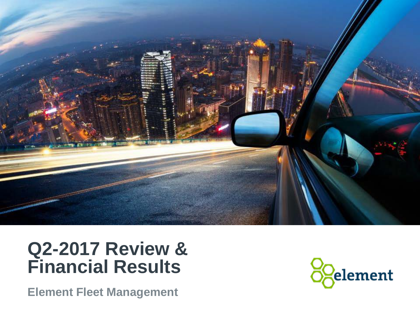

### **Q2-2017 Review & Financial Results**

**Element Fleet Management**

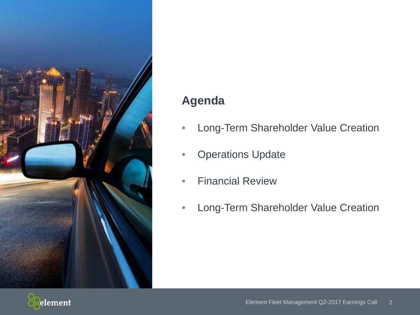

### **Agenda**

- Long-Term Shareholder Value Creation
- Operations Update
- Financial Review
- Long-Term Shareholder Value Creation

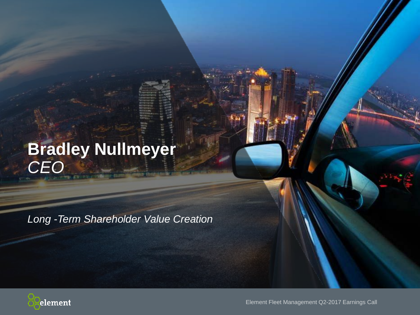# **Bradley Nullmeyer** *CEO*

*Long -Term Shareholder Value Creation*



Element Fleet Management Q2-2017 Earnings Call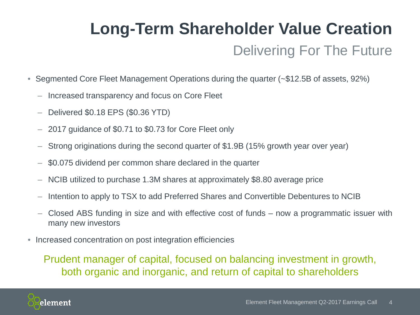# Delivering For The Future **Long-Term Shareholder Value Creation**

- Segmented Core Fleet Management Operations during the quarter (~\$12.5B of assets, 92%)
	- ‒ Increased transparency and focus on Core Fleet
	- ‒ Delivered \$0.18 EPS (\$0.36 YTD)
	- ‒ 2017 guidance of \$0.71 to \$0.73 for Core Fleet only
	- ‒ Strong originations during the second quarter of \$1.9B (15% growth year over year)
	- ‒ \$0.075 dividend per common share declared in the quarter
	- ‒ NCIB utilized to purchase 1.3M shares at approximately \$8.80 average price
	- ‒ Intention to apply to TSX to add Preferred Shares and Convertible Debentures to NCIB
	- ‒ Closed ABS funding in size and with effective cost of funds now a programmatic issuer with many new investors
- Increased concentration on post integration efficiencies

Prudent manager of capital, focused on balancing investment in growth, both organic and inorganic, and return of capital to shareholders

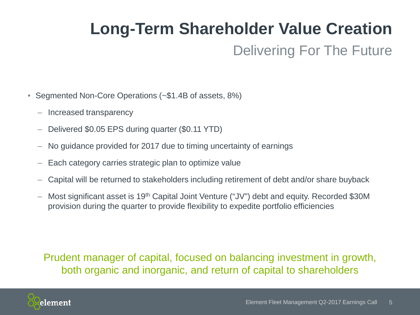# **Long-Term Shareholder Value Creation**

### Delivering For The Future

- Segmented Non-Core Operations (~\$1.4B of assets, 8%)
	- Increased transparency
	- Delivered \$0.05 EPS during quarter (\$0.11 YTD)
	- ‒ No guidance provided for 2017 due to timing uncertainty of earnings
	- Each category carries strategic plan to optimize value
	- ‒ Capital will be returned to stakeholders including retirement of debt and/or share buyback
	- Most significant asset is 19<sup>th</sup> Capital Joint Venture ("JV") debt and equity. Recorded \$30M provision during the quarter to provide flexibility to expedite portfolio efficiencies

### Prudent manager of capital, focused on balancing investment in growth, both organic and inorganic, and return of capital to shareholders

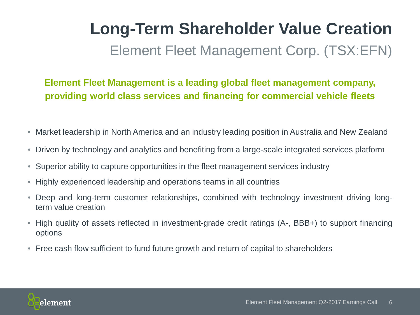# Element Fleet Management Corp. (TSX:EFN) **Long-Term Shareholder Value Creation**

**Element Fleet Management is a leading global fleet management company, providing world class services and financing for commercial vehicle fleets**

- Market leadership in North America and an industry leading position in Australia and New Zealand
- Driven by technology and analytics and benefiting from a large-scale integrated services platform
- Superior ability to capture opportunities in the fleet management services industry
- Highly experienced leadership and operations teams in all countries
- Deep and long-term customer relationships, combined with technology investment driving longterm value creation
- High quality of assets reflected in investment-grade credit ratings (A-, BBB+) to support financing options
- Free cash flow sufficient to fund future growth and return of capital to shareholders

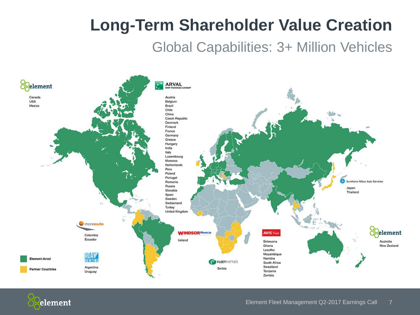# **Long-Term Shareholder Value Creation**

### Global Capabilities: 3+ Million Vehicles



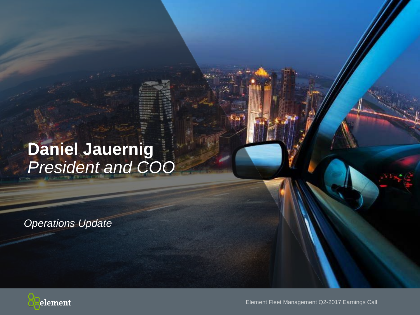### **Daniel Jauernig** *President and COO*

*Operations Update*



Element Fleet Management Q2-2017 Earnings Call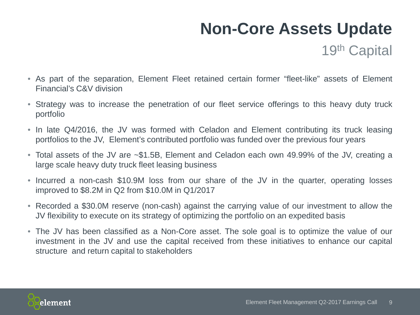### **Non-Core Assets Update**

19th Capital

- As part of the separation, Element Fleet retained certain former "fleet-like" assets of Element Financial's C&V division
- Strategy was to increase the penetration of our fleet service offerings to this heavy duty truck portfolio
- In late Q4/2016, the JV was formed with Celadon and Element contributing its truck leasing portfolios to the JV, Element's contributed portfolio was funded over the previous four years
- Total assets of the JV are ~\$1.5B, Element and Celadon each own 49.99% of the JV, creating a large scale heavy duty truck fleet leasing business
- Incurred a non-cash \$10.9M loss from our share of the JV in the quarter, operating losses improved to \$8.2M in Q2 from \$10.0M in Q1/2017
- Recorded a \$30.0M reserve (non-cash) against the carrying value of our investment to allow the JV flexibility to execute on its strategy of optimizing the portfolio on an expedited basis
- The JV has been classified as a Non-Core asset. The sole goal is to optimize the value of our investment in the JV and use the capital received from these initiatives to enhance our capital structure and return capital to stakeholders

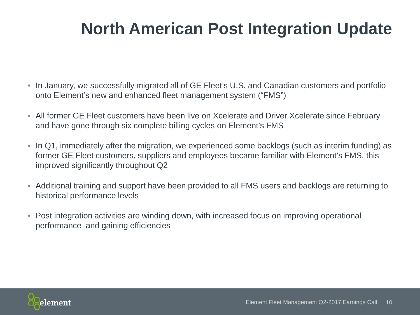# **North American Post Integration Update**

- In January, we successfully migrated all of GE Fleet's U.S. and Canadian customers and portfolio onto Element's new and enhanced fleet management system ("FMS")
- All former GE Fleet customers have been live on Xcelerate and Driver Xcelerate since February and have gone through six complete billing cycles on Element's FMS
- In Q1, immediately after the migration, we experienced some backlogs (such as interim funding) as former GE Fleet customers, suppliers and employees became familiar with Element's FMS, this improved significantly throughout Q2
- Additional training and support have been provided to all FMS users and backlogs are returning to historical performance levels
- Post integration activities are winding down, with increased focus on improving operational performance and gaining efficiencies

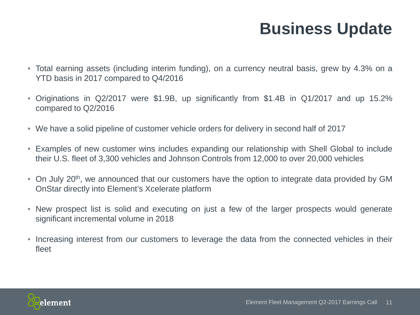### **Business Update**

- Total earning assets (including interim funding), on a currency neutral basis, grew by 4.3% on a YTD basis in 2017 compared to Q4/2016
- Originations in Q2/2017 were \$1.9B, up significantly from \$1.4B in Q1/2017 and up 15.2% compared to Q2/2016
- We have a solid pipeline of customer vehicle orders for delivery in second half of 2017
- Examples of new customer wins includes expanding our relationship with Shell Global to include their U.S. fleet of 3,300 vehicles and Johnson Controls from 12,000 to over 20,000 vehicles
- On July 20<sup>th</sup>, we announced that our customers have the option to integrate data provided by GM OnStar directly into Element's Xcelerate platform
- New prospect list is solid and executing on just a few of the larger prospects would generate significant incremental volume in 2018
- Increasing interest from our customers to leverage the data from the connected vehicles in their fleet

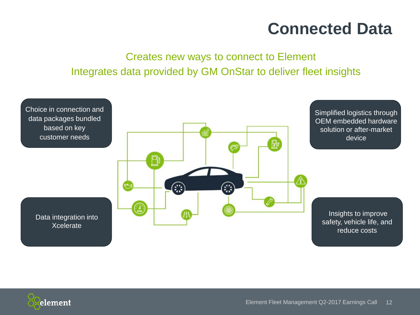### **Connected Data**

### Creates new ways to connect to Element Integrates data provided by GM OnStar to deliver fleet insights



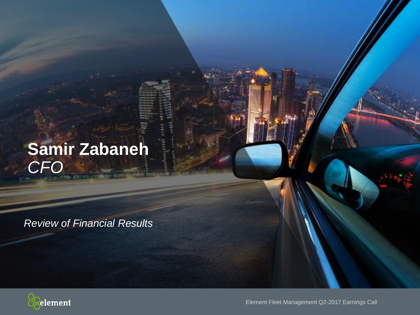# **Samir Zabaneh** *CFO*

*Review of Financial Results*



Element Fleet Management Q2-2017 Earnings Call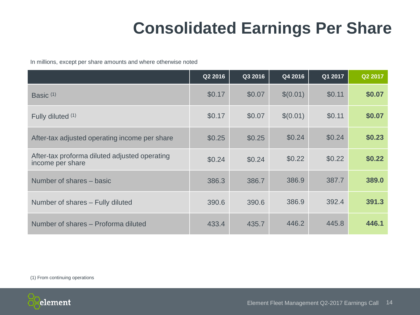# **Consolidated Earnings Per Share**

In millions, except per share amounts and where otherwise noted

|                                                                   | Q2 2016 | Q3 2016 | Q4 2016  | Q1 2017 | Q2 2017 |
|-------------------------------------------------------------------|---------|---------|----------|---------|---------|
| Basic $(1)$                                                       | \$0.17  | \$0.07  | \$(0.01) | \$0.11  | \$0.07  |
| Fully diluted (1)                                                 | \$0.17  | \$0.07  | \$(0.01) | \$0.11  | \$0.07  |
| After-tax adjusted operating income per share                     | \$0.25  | \$0.25  | \$0.24   | \$0.24  | \$0.23  |
| After-tax proforma diluted adjusted operating<br>income per share | \$0.24  | \$0.24  | \$0.22   | \$0.22  | \$0.22  |
| Number of shares – basic                                          | 386.3   | 386.7   | 386.9    | 387.7   | 389.0   |
| Number of shares - Fully diluted                                  | 390.6   | 390.6   | 386.9    | 392.4   | 391.3   |
| Number of shares - Proforma diluted                               | 433.4   | 435.7   | 446.2    | 445.8   | 446.1   |

(1) From continuing operations

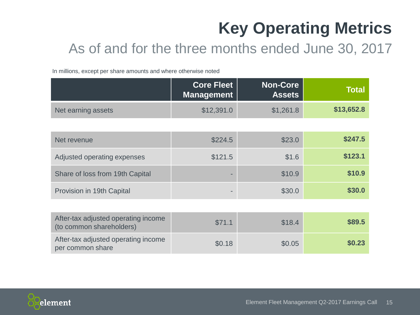# **Key Operating Metrics**

### As of and for the three months ended June 30, 2017

In millions, except per share amounts and where otherwise noted

|                                                                 | <b>Core Fleet</b><br><b>Management</b> | <b>Non-Core</b><br><b>Assets</b> | <b>Total</b> |
|-----------------------------------------------------------------|----------------------------------------|----------------------------------|--------------|
| Net earning assets                                              | \$12,391.0                             | \$1,261.8                        | \$13,652.8   |
|                                                                 |                                        |                                  |              |
| Net revenue                                                     | \$224.5                                | \$23.0                           | \$247.5      |
| Adjusted operating expenses                                     | \$121.5                                | \$1.6                            | \$123.1      |
| Share of loss from 19th Capital                                 | ۰                                      | \$10.9                           | \$10.9       |
| Provision in 19th Capital                                       |                                        | \$30.0                           | \$30.0       |
|                                                                 |                                        |                                  |              |
| After-tax adjusted operating income<br>(to common shareholders) | \$71.1                                 | \$18.4                           | \$89.5       |
| After-tax adjusted operating income<br>per common share         | \$0.18                                 | \$0.05                           | \$0.23       |

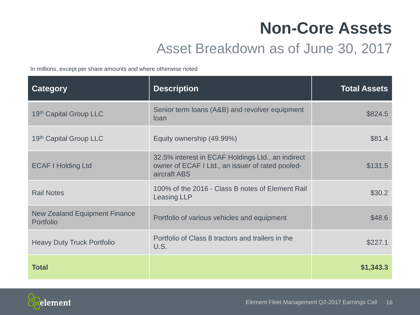### **Non-Core Assets**

### Asset Breakdown as of June 30, 2017

In millions, except per share amounts and where otherwise noted

| <b>Category</b>                                   | <b>Description</b>                                                                                                    | <b>Total Assets</b> |
|---------------------------------------------------|-----------------------------------------------------------------------------------------------------------------------|---------------------|
| 19th Capital Group LLC                            | Senior term loans (A&B) and revolver equipment<br>loan                                                                | \$824.5             |
| 19th Capital Group LLC                            | Equity ownership (49.99%)                                                                                             | \$81.4              |
| <b>ECAF I Holding Ltd</b>                         | 32.5% interest in ECAF Holdings Ltd., an indirect<br>owner of ECAF I Ltd., an issuer of rated pooled-<br>aircraft ABS | \$131.5             |
| <b>Rail Notes</b>                                 | 100% of the 2016 - Class B notes of Element Rail<br><b>Leasing LLP</b>                                                | \$30.2              |
| <b>New Zealand Equipment Finance</b><br>Portfolio | Portfolio of various vehicles and equipment                                                                           | \$48.6              |
| <b>Heavy Duty Truck Portfolio</b>                 | Portfolio of Class 8 tractors and trailers in the<br>U.S.                                                             | \$227.1             |
| <b>Total</b>                                      |                                                                                                                       | \$1,343.3           |

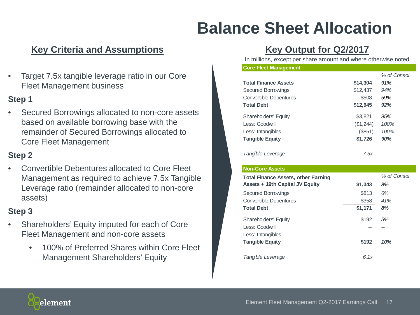# **Balance Sheet Allocation**

#### **Key Criteria and Assumptions Key Output for Q2/2017**

• Target 7.5x tangible leverage ratio in our Core Fleet Management business

#### **Step 1**

Secured Borrowings allocated to non-core assets based on available borrowing base with the remainder of Secured Borrowings allocated to Core Fleet Management

#### **Step 2**

• Convertible Debentures allocated to Core Fleet Management as required to achieve 7.5x Tangible Leverage ratio (remainder allocated to non-core assets)

#### **Step 3**

- Shareholders' Equity imputed for each of Core Fleet Management and non-core assets
	- 100% of Preferred Shares within Core Fleet Management Shareholders' Equity

In millions, except per share amount and where otherwise noted

#### **Core Fleet Management**

|                               |           | % of Consol. |
|-------------------------------|-----------|--------------|
| <b>Total Finance Assets</b>   | \$14,304  | 91%          |
| Secured Borrowings            | \$12,437  | 94%          |
| <b>Convertible Debentures</b> | \$508     | 59%          |
| <b>Total Debt</b>             | \$12,945  | 92%          |
| <b>Shareholders' Equity</b>   | \$3,821   | 95%          |
| Less: Goodwill                | (\$1,244) | 100%         |
| Less: Intangibles             | (S851)    | 100%         |
| <b>Tangible Equity</b>        | \$1,726   | 90%          |
| Tangible Leverage             | 7.5x      |              |

#### **Non-Core Assets**

| <b>Total Finance Assets, other Earning</b> |         | % of Consol. |
|--------------------------------------------|---------|--------------|
| Assets + 19th Capital JV Equity            | \$1,343 | 9%           |
| <b>Secured Borrowings</b>                  | \$813   | 6%           |
| Convertible Debentures                     | \$358   | 41%          |
| <b>Total Debt</b>                          | \$1,171 | 8%           |
| <b>Shareholders' Equity</b>                | \$192   | 5%           |
| Less: Goodwill                             |         |              |
| Less: Intangibles                          |         |              |
| <b>Tangible Equity</b>                     | \$192   | 10%          |
| Tangible Leverage                          | 6.1x    |              |

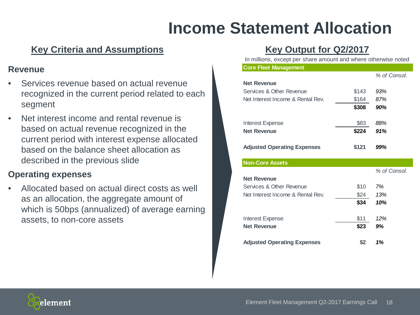### **Income Statement Allocation**

### **Key Criteria and Assumptions Key Output for Q2/2017**

#### **Revenue**

- Services revenue based on actual revenue recognized in the current period related to each segment
- Net interest income and rental revenue is based on actual revenue recognized in the current period with interest expense allocated based on the balance sheet allocation as described in the previous slide

#### **Operating expenses**

Allocated based on actual direct costs as well as an allocation, the aggregate amount of which is 50bps (annualized) of average earning assets, to non-core assets

In millions, except per share amount and where otherwise noted

| <b>Core Fleet Management</b>       |       |              |
|------------------------------------|-------|--------------|
|                                    |       | % of Consol. |
| <b>Net Revenue</b>                 |       |              |
| Services & Other Revenue           | \$143 | 93%          |
| Net Interest Income & Rental Rev.  | \$164 | 87%          |
|                                    | \$308 | 90%          |
| Interest Expense                   | \$83  | 88%          |
| <b>Net Revenue</b>                 | \$224 | 91%          |
| <b>Adjusted Operating Expenses</b> | \$121 | 99%          |
| <b>Non-Core Assets</b>             |       |              |
|                                    |       | % of Consol. |
| <b>Net Revenue</b>                 |       |              |
| Services & Other Revenue           | \$10  | 7%           |
| Net Interest Income & Rental Rev.  | \$24  | 13%          |
|                                    | \$34  | 10%          |
| <b>Interest Expense</b>            | \$11  | 12%          |
| <b>Net Revenue</b>                 | \$23  | 9%           |
|                                    |       | 1%           |

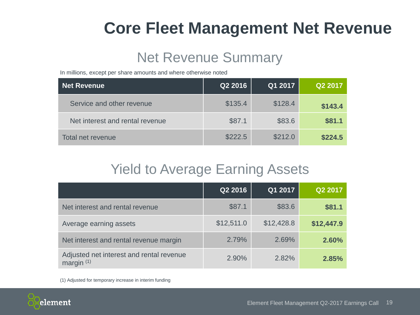### **Core Fleet Management Net Revenue**

### Net Revenue Summary

In millions, except per share amounts and where otherwise noted

| Net Revenue                     | Q2 2016 | Q1 2017 | Q2 2017 |
|---------------------------------|---------|---------|---------|
| Service and other revenue       | \$135.4 | \$128.4 | \$143.4 |
| Net interest and rental revenue | \$87.1  | \$83.6  | \$81.1  |
| Total net revenue               | \$222.5 | \$212.0 | \$224.5 |

### Yield to Average Earning Assets

|                                                          | Q2 2016    | Q1 2017    | Q2 2017    |
|----------------------------------------------------------|------------|------------|------------|
| Net interest and rental revenue                          | \$87.1     | \$83.6     | \$81.1     |
| Average earning assets                                   | \$12,511.0 | \$12,428.8 | \$12,447.9 |
| Net interest and rental revenue margin                   | 2.79%      | 2.69%      | 2.60%      |
| Adjusted net interest and rental revenue<br>margin $(1)$ | 2.90%      | 2.82%      | 2.85%      |

(1) Adjusted for temporary increase in interim funding

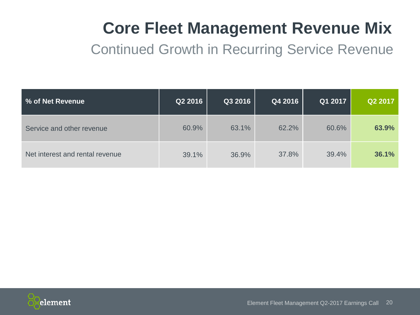# **Core Fleet Management Revenue Mix**

Continued Growth in Recurring Service Revenue

| <b>% of Net Revenue</b>         | Q2 2016 | Q3 2016 | Q4 2016 | Q1 2017 | Q2 2017 |
|---------------------------------|---------|---------|---------|---------|---------|
| Service and other revenue       | 60.9%   | 63.1%   | 62.2%   | 60.6%   | 63.9%   |
| Net interest and rental revenue | 39.1%   | 36.9%   | 37.8%   | 39.4%   | 36.1%   |

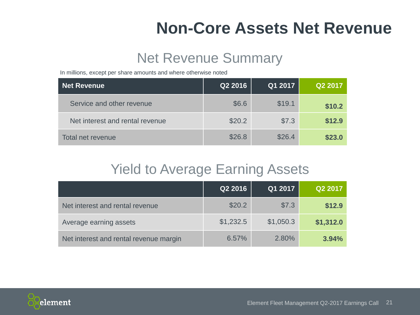### **Non-Core Assets Net Revenue**

### Net Revenue Summary

In millions, except per share amounts and where otherwise noted

| Net Revenue                     | Q2 2016 | Q1 2017 | Q2 2017 |
|---------------------------------|---------|---------|---------|
| Service and other revenue       | \$6.6   | \$19.1  | \$10.2  |
| Net interest and rental revenue | \$20.2  | \$7.3   | \$12.9  |
| Total net revenue               | \$26.8  | \$26.4  | \$23.0  |

### Yield to Average Earning Assets

|                                        | Q2 2016   | Q1 2017   | Q2 2017   |
|----------------------------------------|-----------|-----------|-----------|
| Net interest and rental revenue        | \$20.2    | \$7.3     | \$12.9    |
| Average earning assets                 | \$1,232.5 | \$1,050.3 | \$1,312.0 |
| Net interest and rental revenue margin | 6.57%     | 2.80%     | 3.94%     |

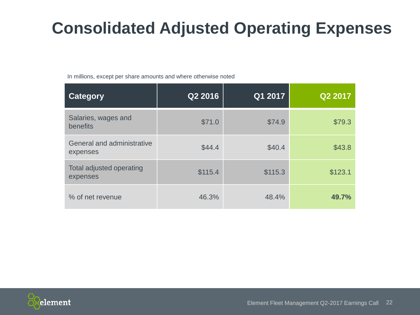# **Consolidated Adjusted Operating Expenses**

In millions, except per share amounts and where otherwise noted

| Category                               | Q2 2016 | Q1 2017 | Q2 2017 |
|----------------------------------------|---------|---------|---------|
| Salaries, wages and<br>benefits        | \$71.0  | \$74.9  | \$79.3  |
| General and administrative<br>expenses | \$44.4  | \$40.4  | \$43.8  |
| Total adjusted operating<br>expenses   | \$115.4 | \$115.3 | \$123.1 |
| % of net revenue                       | 46.3%   | 48.4%   | 49.7%   |

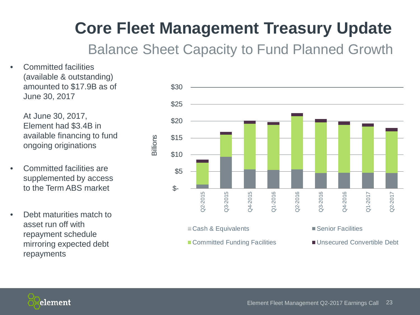# **Core Fleet Management Treasury Update**

Balance Sheet Capacity to Fund Planned Growth

• Committed facilities (available & outstanding) amounted to \$17.9B as of June 30, 2017

> At June 30, 2017, Element had \$3.4B in available financing to fund ongoing originations

- Committed facilities are supplemented by access to the Term ABS market
- Debt maturities match to asset run off with repayment schedule mirroring expected debt repayments



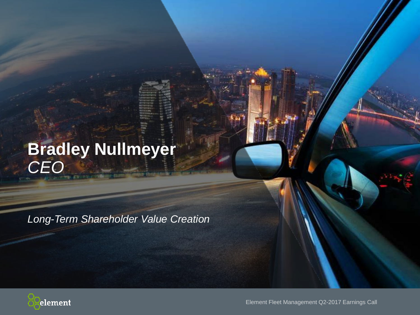# **Bradley Nullmeyer** *CEO*

*Long-Term Shareholder Value Creation*



Element Fleet Management Q2-2017 Earnings Call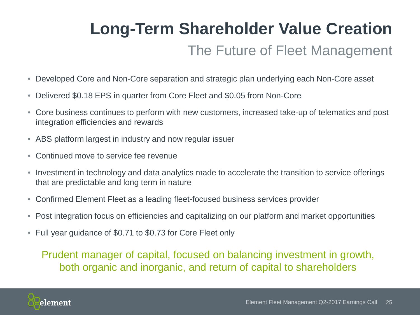# The Future of Fleet Management **Long-Term Shareholder Value Creation**

- Developed Core and Non-Core separation and strategic plan underlying each Non-Core asset
- Delivered \$0.18 EPS in quarter from Core Fleet and \$0.05 from Non-Core
- Core business continues to perform with new customers, increased take-up of telematics and post integration efficiencies and rewards
- ABS platform largest in industry and now regular issuer
- Continued move to service fee revenue
- Investment in technology and data analytics made to accelerate the transition to service offerings that are predictable and long term in nature
- Confirmed Element Fleet as a leading fleet-focused business services provider
- Post integration focus on efficiencies and capitalizing on our platform and market opportunities
- Full year guidance of \$0.71 to \$0.73 for Core Fleet only

Prudent manager of capital, focused on balancing investment in growth, both organic and inorganic, and return of capital to shareholders